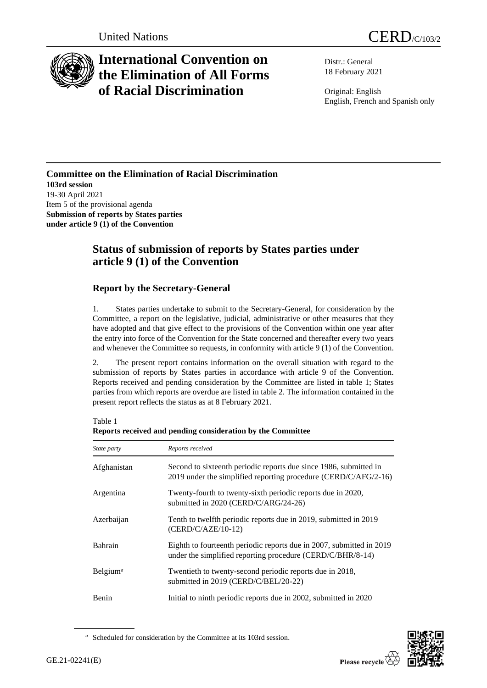

# **International Convention on the Elimination of All Forms of Racial Discrimination**

Distr.: General 18 February 2021

Original: English English, French and Spanish only

#### **Committee on the Elimination of Racial Discrimination 103rd session** 19-30 April 2021 Item 5 of the provisional agenda **Submission of reports by States parties under article 9 (1) of the Convention**

## **Status of submission of reports by States parties under article 9 (1) of the Convention**

### **Report by the Secretary-General**

1. States parties undertake to submit to the Secretary-General, for consideration by the Committee, a report on the legislative, judicial, administrative or other measures that they have adopted and that give effect to the provisions of the Convention within one year after the entry into force of the Convention for the State concerned and thereafter every two years and whenever the Committee so requests, in conformity with article 9 (1) of the Convention.

2. The present report contains information on the overall situation with regard to the submission of reports by States parties in accordance with article 9 of the Convention. Reports received and pending consideration by the Committee are listed in table 1; States parties from which reports are overdue are listed in table 2. The information contained in the present report reflects the status as at 8 February 2021.

Table 1

| Reports received and pending consideration by the Committee |                                                                                                                                      |  |
|-------------------------------------------------------------|--------------------------------------------------------------------------------------------------------------------------------------|--|
| State party                                                 | Reports received                                                                                                                     |  |
| Afghanistan                                                 | Second to sixteenth periodic reports due since 1986, submitted in<br>2019 under the simplified reporting procedure (CERD/C/AFG/2-16) |  |
| Argentina                                                   | Twenty-fourth to twenty-sixth periodic reports due in 2020,<br>submitted in 2020 (CERD/C/ARG/24-26)                                  |  |
| Azerbaijan                                                  | Tenth to twelfth periodic reports due in 2019, submitted in 2019<br>(CERD/C/AZE/10-12)                                               |  |
| <b>Bahrain</b>                                              | Eighth to fourteenth periodic reports due in 2007, submitted in 2019<br>under the simplified reporting procedure (CERD/C/BHR/8-14)   |  |
| Belgium <sup>a</sup>                                        | Twentieth to twenty-second periodic reports due in 2018,<br>submitted in 2019 (CERD/C/BEL/20-22)                                     |  |
| <b>Benin</b>                                                | Initial to ninth periodic reports due in 2002, submitted in 2020                                                                     |  |

**Reports received and pending consideration by the Committee**



*<sup>a</sup>* Scheduled for consideration by the Committee at its 103rd session.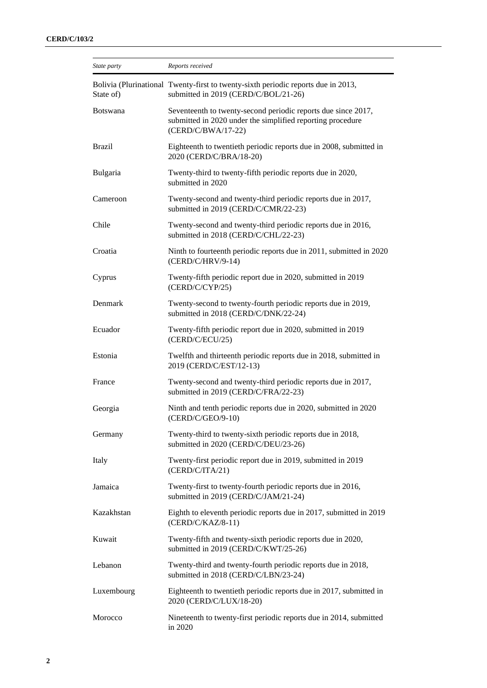| State party     | Reports received                                                                                                                                  |
|-----------------|---------------------------------------------------------------------------------------------------------------------------------------------------|
| State of)       | Bolivia (Plurinational Twenty-first to twenty-sixth periodic reports due in 2013,<br>submitted in 2019 (CERD/C/BOL/21-26)                         |
| <b>Botswana</b> | Seventeenth to twenty-second periodic reports due since 2017,<br>submitted in 2020 under the simplified reporting procedure<br>(CERD/C/BWA/17-22) |
| <b>Brazil</b>   | Eighteenth to twentieth periodic reports due in 2008, submitted in<br>2020 (CERD/C/BRA/18-20)                                                     |
| Bulgaria        | Twenty-third to twenty-fifth periodic reports due in 2020,<br>submitted in 2020                                                                   |
| Cameroon        | Twenty-second and twenty-third periodic reports due in 2017,<br>submitted in 2019 (CERD/C/CMR/22-23)                                              |
| Chile           | Twenty-second and twenty-third periodic reports due in 2016,<br>submitted in 2018 (CERD/C/CHL/22-23)                                              |
| Croatia         | Ninth to fourteenth periodic reports due in 2011, submitted in 2020<br>(CERD/C/HRV/9-14)                                                          |
| Cyprus          | Twenty-fifth periodic report due in 2020, submitted in 2019<br>(CERD/C/CYP/25)                                                                    |
| Denmark         | Twenty-second to twenty-fourth periodic reports due in 2019,<br>submitted in 2018 (CERD/C/DNK/22-24)                                              |
| Ecuador         | Twenty-fifth periodic report due in 2020, submitted in 2019<br>(CERD/C/ECU/25)                                                                    |
| Estonia         | Twelfth and thirteenth periodic reports due in 2018, submitted in<br>2019 (CERD/C/EST/12-13)                                                      |
| France          | Twenty-second and twenty-third periodic reports due in 2017,<br>submitted in 2019 (CERD/C/FRA/22-23)                                              |
| Georgia         | Ninth and tenth periodic reports due in 2020, submitted in 2020<br>(CERD/C/GEO/9-10)                                                              |
| Germany         | Twenty-third to twenty-sixth periodic reports due in 2018,<br>submitted in 2020 (CERD/C/DEU/23-26)                                                |
| Italy           | Twenty-first periodic report due in 2019, submitted in 2019<br>(CERD/C/ITA/21)                                                                    |
| Jamaica         | Twenty-first to twenty-fourth periodic reports due in 2016,<br>submitted in 2019 (CERD/C/JAM/21-24)                                               |
| Kazakhstan      | Eighth to eleventh periodic reports due in 2017, submitted in 2019<br>$(CERD/C/KAZ/8-11)$                                                         |
| Kuwait          | Twenty-fifth and twenty-sixth periodic reports due in 2020,<br>submitted in 2019 (CERD/C/KWT/25-26)                                               |
| Lebanon         | Twenty-third and twenty-fourth periodic reports due in 2018,<br>submitted in 2018 (CERD/C/LBN/23-24)                                              |
| Luxembourg      | Eighteenth to twentieth periodic reports due in 2017, submitted in<br>2020 (CERD/C/LUX/18-20)                                                     |
| Morocco         | Nineteenth to twenty-first periodic reports due in 2014, submitted<br>in 2020                                                                     |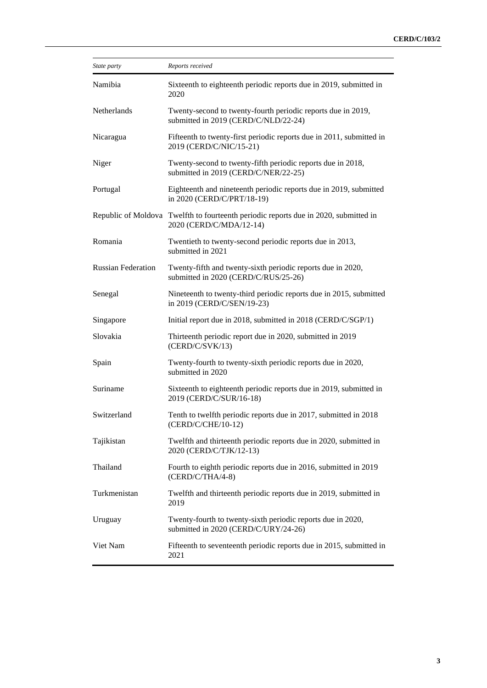| State party               | Reports received                                                                                                |
|---------------------------|-----------------------------------------------------------------------------------------------------------------|
| Namibia                   | Sixteenth to eighteenth periodic reports due in 2019, submitted in<br>2020                                      |
| Netherlands               | Twenty-second to twenty-fourth periodic reports due in 2019,<br>submitted in 2019 (CERD/C/NLD/22-24)            |
| Nicaragua                 | Fifteenth to twenty-first periodic reports due in 2011, submitted in<br>2019 (CERD/C/NIC/15-21)                 |
| Niger                     | Twenty-second to twenty-fifth periodic reports due in 2018,<br>submitted in 2019 (CERD/C/NER/22-25)             |
| Portugal                  | Eighteenth and nineteenth periodic reports due in 2019, submitted<br>in 2020 (CERD/C/PRT/18-19)                 |
|                           | Republic of Moldova Twelfth to fourteenth periodic reports due in 2020, submitted in<br>2020 (CERD/C/MDA/12-14) |
| Romania                   | Twentieth to twenty-second periodic reports due in 2013,<br>submitted in 2021                                   |
| <b>Russian Federation</b> | Twenty-fifth and twenty-sixth periodic reports due in 2020,<br>submitted in 2020 (CERD/C/RUS/25-26)             |
| Senegal                   | Nineteenth to twenty-third periodic reports due in 2015, submitted<br>in 2019 (CERD/C/SEN/19-23)                |
| Singapore                 | Initial report due in 2018, submitted in 2018 (CERD/C/SGP/1)                                                    |
| Slovakia                  | Thirteenth periodic report due in 2020, submitted in 2019<br>(CERD/C/SVK/13)                                    |
| Spain                     | Twenty-fourth to twenty-sixth periodic reports due in 2020,<br>submitted in 2020                                |
| Suriname                  | Sixteenth to eighteenth periodic reports due in 2019, submitted in<br>2019 (CERD/C/SUR/16-18)                   |
| Switzerland               | Tenth to twelfth periodic reports due in 2017, submitted in 2018<br>(CERD/C/CHE/10-12)                          |
| Tajikistan                | Twelfth and thirteenth periodic reports due in 2020, submitted in<br>2020 (CERD/C/TJK/12-13)                    |
| Thailand                  | Fourth to eighth periodic reports due in 2016, submitted in 2019<br>(CERD/C/THA/4-8)                            |
| Turkmenistan              | Twelfth and thirteenth periodic reports due in 2019, submitted in<br>2019                                       |
| Uruguay                   | Twenty-fourth to twenty-sixth periodic reports due in 2020,<br>submitted in 2020 (CERD/C/URY/24-26)             |
| Viet Nam                  | Fifteenth to seventeenth periodic reports due in 2015, submitted in<br>2021                                     |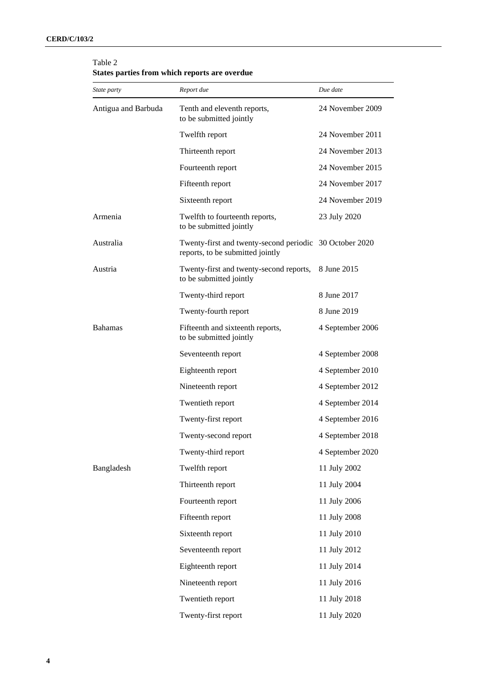| <i>State party</i>  | Report due                                                                                  | Due date         |
|---------------------|---------------------------------------------------------------------------------------------|------------------|
| Antigua and Barbuda | Tenth and eleventh reports,<br>to be submitted jointly                                      | 24 November 2009 |
|                     | Twelfth report                                                                              | 24 November 2011 |
|                     | Thirteenth report                                                                           | 24 November 2013 |
|                     | Fourteenth report                                                                           | 24 November 2015 |
|                     | Fifteenth report                                                                            | 24 November 2017 |
|                     | Sixteenth report                                                                            | 24 November 2019 |
| Armenia             | Twelfth to fourteenth reports,<br>to be submitted jointly                                   | 23 July 2020     |
| Australia           | Twenty-first and twenty-second periodic 30 October 2020<br>reports, to be submitted jointly |                  |
| Austria             | Twenty-first and twenty-second reports,<br>to be submitted jointly                          | 8 June 2015      |
|                     | Twenty-third report                                                                         | 8 June 2017      |
|                     | Twenty-fourth report                                                                        | 8 June 2019      |
| <b>Bahamas</b>      | Fifteenth and sixteenth reports,<br>to be submitted jointly                                 | 4 September 2006 |
|                     | Seventeenth report                                                                          | 4 September 2008 |
|                     | Eighteenth report                                                                           | 4 September 2010 |
|                     | Nineteenth report                                                                           | 4 September 2012 |
|                     | Twentieth report                                                                            | 4 September 2014 |
|                     | Twenty-first report                                                                         | 4 September 2016 |
|                     | Twenty-second report                                                                        | 4 September 2018 |
|                     | Twenty-third report                                                                         | 4 September 2020 |
| Bangladesh          | Twelfth report                                                                              | 11 July 2002     |
|                     | Thirteenth report                                                                           | 11 July 2004     |
|                     | Fourteenth report                                                                           | 11 July 2006     |
|                     | Fifteenth report                                                                            | 11 July 2008     |
|                     | Sixteenth report                                                                            | 11 July 2010     |
|                     | Seventeenth report                                                                          | 11 July 2012     |
|                     | Eighteenth report                                                                           | 11 July 2014     |
|                     | Nineteenth report                                                                           | 11 July 2016     |
|                     | Twentieth report                                                                            | 11 July 2018     |
|                     | Twenty-first report                                                                         | 11 July 2020     |

#### Table 2 **States parties from which reports are overdue**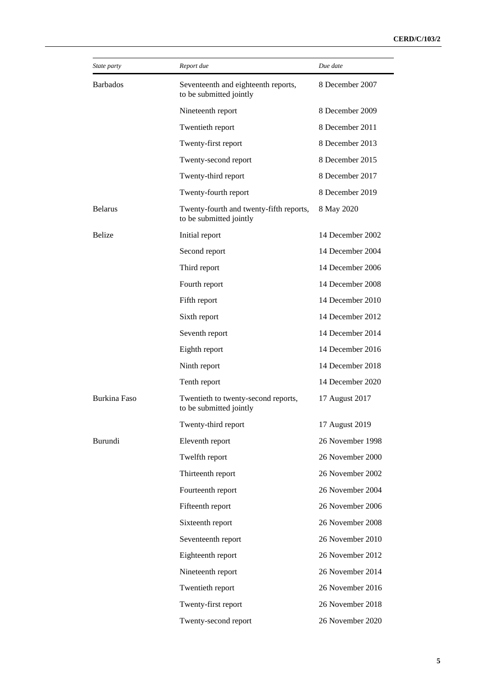| State party     | Report due                                                         | Due date         |
|-----------------|--------------------------------------------------------------------|------------------|
| <b>Barbados</b> | Seventeenth and eighteenth reports,<br>to be submitted jointly     | 8 December 2007  |
|                 | Nineteenth report                                                  | 8 December 2009  |
|                 | Twentieth report                                                   | 8 December 2011  |
|                 | Twenty-first report                                                | 8 December 2013  |
|                 | Twenty-second report                                               | 8 December 2015  |
|                 | Twenty-third report                                                | 8 December 2017  |
|                 | Twenty-fourth report                                               | 8 December 2019  |
| <b>Belarus</b>  | Twenty-fourth and twenty-fifth reports,<br>to be submitted jointly | 8 May 2020       |
| <b>Belize</b>   | Initial report                                                     | 14 December 2002 |
|                 | Second report                                                      | 14 December 2004 |
|                 | Third report                                                       | 14 December 2006 |
|                 | Fourth report                                                      | 14 December 2008 |
|                 | Fifth report                                                       | 14 December 2010 |
|                 | Sixth report                                                       | 14 December 2012 |
|                 | Seventh report                                                     | 14 December 2014 |
|                 | Eighth report                                                      | 14 December 2016 |
|                 | Ninth report                                                       | 14 December 2018 |
|                 | Tenth report                                                       | 14 December 2020 |
| Burkina Faso    | Twentieth to twenty-second reports,<br>to be submitted jointly     | 17 August 2017   |
|                 | Twenty-third report                                                | 17 August 2019   |
| Burundi         | Eleventh report                                                    | 26 November 1998 |
|                 | Twelfth report                                                     | 26 November 2000 |
|                 | Thirteenth report                                                  | 26 November 2002 |
|                 | Fourteenth report                                                  | 26 November 2004 |
|                 | Fifteenth report                                                   | 26 November 2006 |
|                 | Sixteenth report                                                   | 26 November 2008 |
|                 | Seventeenth report                                                 | 26 November 2010 |
|                 | Eighteenth report                                                  | 26 November 2012 |
|                 | Nineteenth report                                                  | 26 November 2014 |
|                 | Twentieth report                                                   | 26 November 2016 |
|                 | Twenty-first report                                                | 26 November 2018 |
|                 | Twenty-second report                                               | 26 November 2020 |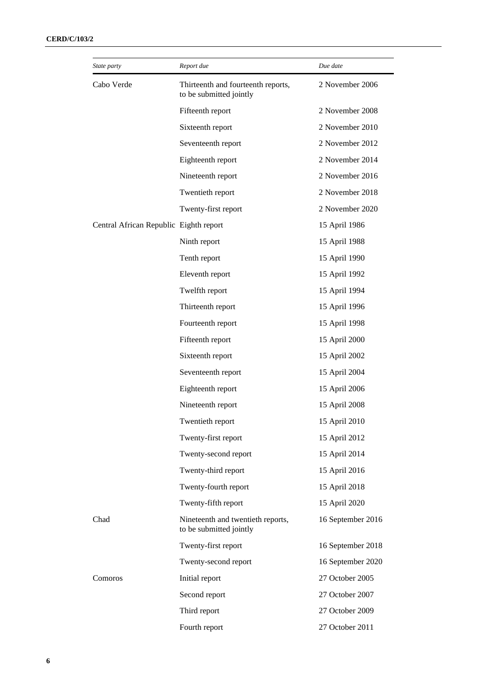| State party                            | Report due                                                    | Due date          |
|----------------------------------------|---------------------------------------------------------------|-------------------|
| Cabo Verde                             | Thirteenth and fourteenth reports,<br>to be submitted jointly | 2 November 2006   |
|                                        | Fifteenth report                                              | 2 November 2008   |
|                                        | Sixteenth report                                              | 2 November 2010   |
|                                        | Seventeenth report                                            | 2 November 2012   |
|                                        | Eighteenth report                                             | 2 November 2014   |
|                                        | Nineteenth report                                             | 2 November 2016   |
|                                        | Twentieth report                                              | 2 November 2018   |
|                                        | Twenty-first report                                           | 2 November 2020   |
| Central African Republic Eighth report |                                                               | 15 April 1986     |
|                                        | Ninth report                                                  | 15 April 1988     |
|                                        | Tenth report                                                  | 15 April 1990     |
|                                        | Eleventh report                                               | 15 April 1992     |
|                                        | Twelfth report                                                | 15 April 1994     |
|                                        | Thirteenth report                                             | 15 April 1996     |
|                                        | Fourteenth report                                             | 15 April 1998     |
|                                        | Fifteenth report                                              | 15 April 2000     |
|                                        | Sixteenth report                                              | 15 April 2002     |
|                                        | Seventeenth report                                            | 15 April 2004     |
|                                        | Eighteenth report                                             | 15 April 2006     |
|                                        | Nineteenth report                                             | 15 April 2008     |
|                                        | Twentieth report                                              | 15 April 2010     |
|                                        | Twenty-first report                                           | 15 April 2012     |
|                                        | Twenty-second report                                          | 15 April 2014     |
|                                        | Twenty-third report                                           | 15 April 2016     |
|                                        | Twenty-fourth report                                          | 15 April 2018     |
|                                        | Twenty-fifth report                                           | 15 April 2020     |
| Chad                                   | Nineteenth and twentieth reports,<br>to be submitted jointly  | 16 September 2016 |
|                                        | Twenty-first report                                           | 16 September 2018 |
|                                        | Twenty-second report                                          | 16 September 2020 |
| Comoros                                | Initial report                                                | 27 October 2005   |
|                                        | Second report                                                 | 27 October 2007   |
|                                        | Third report                                                  | 27 October 2009   |
|                                        | Fourth report                                                 | 27 October 2011   |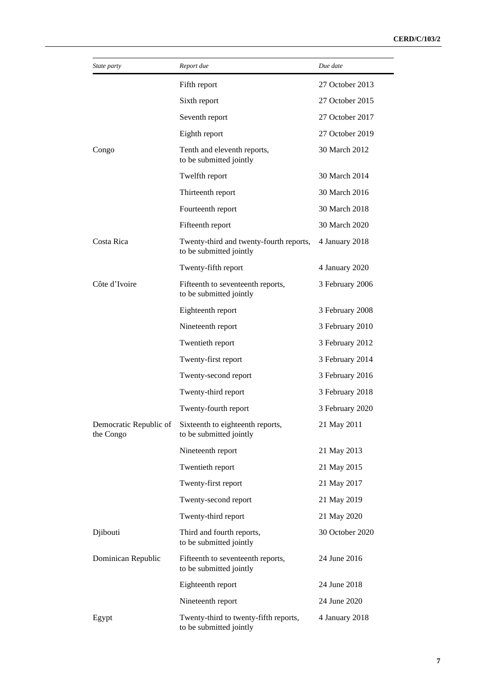| State party                         | Report due                                                         | Due date        |
|-------------------------------------|--------------------------------------------------------------------|-----------------|
|                                     | Fifth report                                                       | 27 October 2013 |
|                                     | Sixth report                                                       | 27 October 2015 |
|                                     | Seventh report                                                     | 27 October 2017 |
|                                     | Eighth report                                                      | 27 October 2019 |
| Congo                               | Tenth and eleventh reports,<br>to be submitted jointly             | 30 March 2012   |
|                                     | Twelfth report                                                     | 30 March 2014   |
|                                     | Thirteenth report                                                  | 30 March 2016   |
|                                     | Fourteenth report                                                  | 30 March 2018   |
|                                     | Fifteenth report                                                   | 30 March 2020   |
| Costa Rica                          | Twenty-third and twenty-fourth reports,<br>to be submitted jointly | 4 January 2018  |
|                                     | Twenty-fifth report                                                | 4 January 2020  |
| Côte d'Ivoire                       | Fifteenth to seventeenth reports,<br>to be submitted jointly       | 3 February 2006 |
|                                     | Eighteenth report                                                  | 3 February 2008 |
|                                     | Nineteenth report                                                  | 3 February 2010 |
|                                     | Twentieth report                                                   | 3 February 2012 |
|                                     | Twenty-first report                                                | 3 February 2014 |
|                                     | Twenty-second report                                               | 3 February 2016 |
|                                     | Twenty-third report                                                | 3 February 2018 |
|                                     | Twenty-fourth report                                               | 3 February 2020 |
| Democratic Republic of<br>the Congo | Sixteenth to eighteenth reports,<br>to be submitted jointly        | 21 May 2011     |
|                                     | Nineteenth report                                                  | 21 May 2013     |
|                                     | Twentieth report                                                   | 21 May 2015     |
|                                     | Twenty-first report                                                | 21 May 2017     |
|                                     | Twenty-second report                                               | 21 May 2019     |
|                                     | Twenty-third report                                                | 21 May 2020     |
| Djibouti                            | Third and fourth reports,<br>to be submitted jointly               | 30 October 2020 |
| Dominican Republic                  | Fifteenth to seventeenth reports,<br>to be submitted jointly       | 24 June 2016    |
|                                     | Eighteenth report                                                  | 24 June 2018    |
|                                     | Nineteenth report                                                  | 24 June 2020    |
| Egypt                               | Twenty-third to twenty-fifth reports,<br>to be submitted jointly   | 4 January 2018  |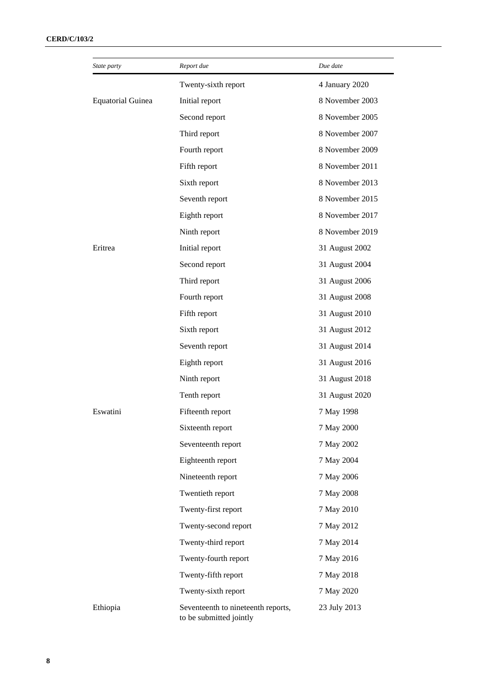| State party              | Report due                                                    | Due date        |
|--------------------------|---------------------------------------------------------------|-----------------|
|                          | Twenty-sixth report                                           | 4 January 2020  |
| <b>Equatorial Guinea</b> | Initial report                                                | 8 November 2003 |
|                          | Second report                                                 | 8 November 2005 |
|                          | Third report                                                  | 8 November 2007 |
|                          | Fourth report                                                 | 8 November 2009 |
|                          | Fifth report                                                  | 8 November 2011 |
|                          | Sixth report                                                  | 8 November 2013 |
|                          | Seventh report                                                | 8 November 2015 |
|                          | Eighth report                                                 | 8 November 2017 |
|                          | Ninth report                                                  | 8 November 2019 |
| Eritrea                  | Initial report                                                | 31 August 2002  |
|                          | Second report                                                 | 31 August 2004  |
|                          | Third report                                                  | 31 August 2006  |
|                          | Fourth report                                                 | 31 August 2008  |
|                          | Fifth report                                                  | 31 August 2010  |
|                          | Sixth report                                                  | 31 August 2012  |
|                          | Seventh report                                                | 31 August 2014  |
|                          | Eighth report                                                 | 31 August 2016  |
|                          | Ninth report                                                  | 31 August 2018  |
|                          | Tenth report                                                  | 31 August 2020  |
| Eswatini                 | Fifteenth report                                              | 7 May 1998      |
|                          | Sixteenth report                                              | 7 May 2000      |
|                          | Seventeenth report                                            | 7 May 2002      |
|                          | Eighteenth report                                             | 7 May 2004      |
|                          | Nineteenth report                                             | 7 May 2006      |
|                          | Twentieth report                                              | 7 May 2008      |
|                          | Twenty-first report                                           | 7 May 2010      |
|                          | Twenty-second report                                          | 7 May 2012      |
|                          | Twenty-third report                                           | 7 May 2014      |
|                          | Twenty-fourth report                                          | 7 May 2016      |
|                          | Twenty-fifth report                                           | 7 May 2018      |
|                          | Twenty-sixth report                                           | 7 May 2020      |
| Ethiopia                 | Seventeenth to nineteenth reports,<br>to be submitted jointly | 23 July 2013    |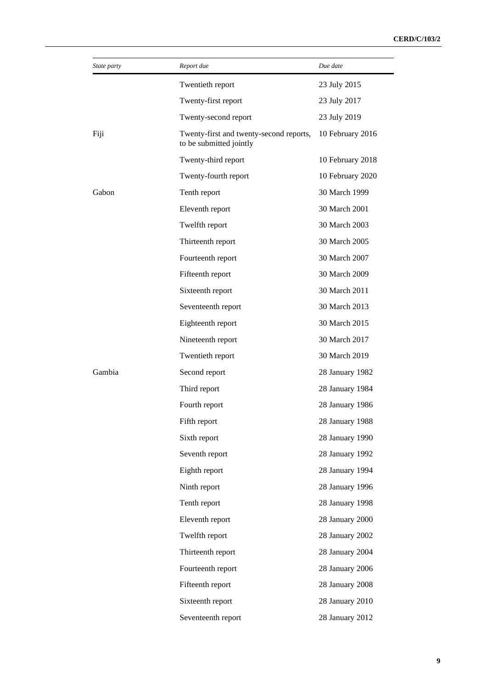| State party | Report due                                                         | Due date         |
|-------------|--------------------------------------------------------------------|------------------|
|             | Twentieth report                                                   | 23 July 2015     |
|             | Twenty-first report                                                | 23 July 2017     |
|             | Twenty-second report                                               | 23 July 2019     |
| Fiji        | Twenty-first and twenty-second reports,<br>to be submitted jointly | 10 February 2016 |
|             | Twenty-third report                                                | 10 February 2018 |
|             | Twenty-fourth report                                               | 10 February 2020 |
| Gabon       | Tenth report                                                       | 30 March 1999    |
|             | Eleventh report                                                    | 30 March 2001    |
|             | Twelfth report                                                     | 30 March 2003    |
|             | Thirteenth report                                                  | 30 March 2005    |
|             | Fourteenth report                                                  | 30 March 2007    |
|             | Fifteenth report                                                   | 30 March 2009    |
|             | Sixteenth report                                                   | 30 March 2011    |
|             | Seventeenth report                                                 | 30 March 2013    |
|             | Eighteenth report                                                  | 30 March 2015    |
|             | Nineteenth report                                                  | 30 March 2017    |
|             | Twentieth report                                                   | 30 March 2019    |
| Gambia      | Second report                                                      | 28 January 1982  |
|             | Third report                                                       | 28 January 1984  |
|             | Fourth report                                                      | 28 January 1986  |
|             | Fifth report                                                       | 28 January 1988  |
|             | Sixth report                                                       | 28 January 1990  |
|             | Seventh report                                                     | 28 January 1992  |
|             | Eighth report                                                      | 28 January 1994  |
|             | Ninth report                                                       | 28 January 1996  |
|             | Tenth report                                                       | 28 January 1998  |
|             | Eleventh report                                                    | 28 January 2000  |
|             | Twelfth report                                                     | 28 January 2002  |
|             | Thirteenth report                                                  | 28 January 2004  |
|             | Fourteenth report                                                  | 28 January 2006  |
|             | Fifteenth report                                                   | 28 January 2008  |
|             | Sixteenth report                                                   | 28 January 2010  |
|             | Seventeenth report                                                 | 28 January 2012  |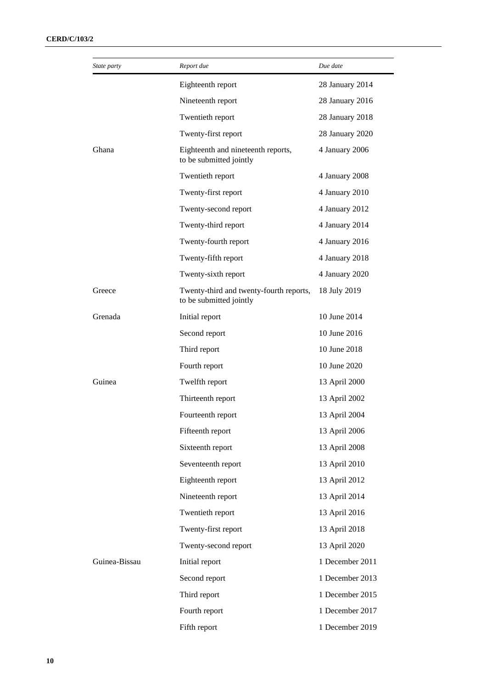| State party   | Report due                                                         | Due date        |
|---------------|--------------------------------------------------------------------|-----------------|
|               | Eighteenth report                                                  | 28 January 2014 |
|               | Nineteenth report                                                  | 28 January 2016 |
|               | Twentieth report                                                   | 28 January 2018 |
|               | Twenty-first report                                                | 28 January 2020 |
| Ghana         | Eighteenth and nineteenth reports,<br>to be submitted jointly      | 4 January 2006  |
|               | Twentieth report                                                   | 4 January 2008  |
|               | Twenty-first report                                                | 4 January 2010  |
|               | Twenty-second report                                               | 4 January 2012  |
|               | Twenty-third report                                                | 4 January 2014  |
|               | Twenty-fourth report                                               | 4 January 2016  |
|               | Twenty-fifth report                                                | 4 January 2018  |
|               | Twenty-sixth report                                                | 4 January 2020  |
| Greece        | Twenty-third and twenty-fourth reports,<br>to be submitted jointly | 18 July 2019    |
| Grenada       | Initial report                                                     | 10 June 2014    |
|               | Second report                                                      | 10 June 2016    |
|               | Third report                                                       | 10 June 2018    |
|               | Fourth report                                                      | 10 June 2020    |
| Guinea        | Twelfth report                                                     | 13 April 2000   |
|               | Thirteenth report                                                  | 13 April 2002   |
|               | Fourteenth report                                                  | 13 April 2004   |
|               | Fifteenth report                                                   | 13 April 2006   |
|               | Sixteenth report                                                   | 13 April 2008   |
|               | Seventeenth report                                                 | 13 April 2010   |
|               | Eighteenth report                                                  | 13 April 2012   |
|               | Nineteenth report                                                  | 13 April 2014   |
|               | Twentieth report                                                   | 13 April 2016   |
|               | Twenty-first report                                                | 13 April 2018   |
|               | Twenty-second report                                               | 13 April 2020   |
| Guinea-Bissau | Initial report                                                     | 1 December 2011 |
|               | Second report                                                      | 1 December 2013 |
|               | Third report                                                       | 1 December 2015 |
|               | Fourth report                                                      | 1 December 2017 |
|               | Fifth report                                                       | 1 December 2019 |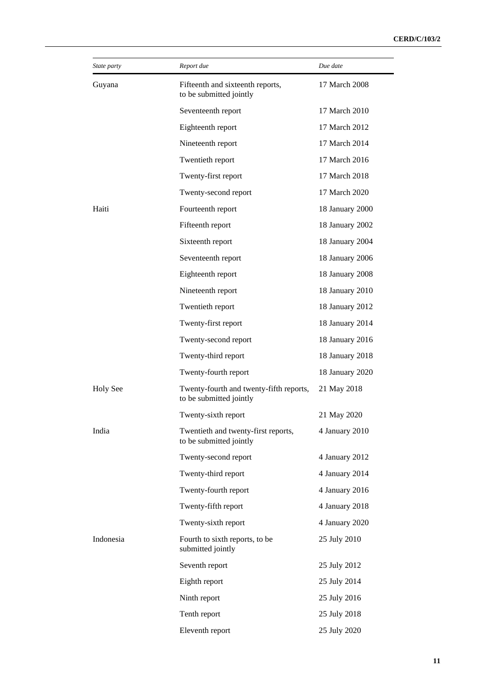| State party     | Report due                                                         | Due date        |
|-----------------|--------------------------------------------------------------------|-----------------|
| Guyana          | Fifteenth and sixteenth reports,<br>to be submitted jointly        | 17 March 2008   |
|                 | Seventeenth report                                                 | 17 March 2010   |
|                 | Eighteenth report                                                  | 17 March 2012   |
|                 | Nineteenth report                                                  | 17 March 2014   |
|                 | Twentieth report                                                   | 17 March 2016   |
|                 | Twenty-first report                                                | 17 March 2018   |
|                 | Twenty-second report                                               | 17 March 2020   |
| Haiti           | Fourteenth report                                                  | 18 January 2000 |
|                 | Fifteenth report                                                   | 18 January 2002 |
|                 | Sixteenth report                                                   | 18 January 2004 |
|                 | Seventeenth report                                                 | 18 January 2006 |
|                 | Eighteenth report                                                  | 18 January 2008 |
|                 | Nineteenth report                                                  | 18 January 2010 |
|                 | Twentieth report                                                   | 18 January 2012 |
|                 | Twenty-first report                                                | 18 January 2014 |
|                 | Twenty-second report                                               | 18 January 2016 |
|                 | Twenty-third report                                                | 18 January 2018 |
|                 | Twenty-fourth report                                               | 18 January 2020 |
| <b>Holy See</b> | Twenty-fourth and twenty-fifth reports,<br>to be submitted jointly | 21 May 2018     |
|                 | Twenty-sixth report                                                | 21 May 2020     |
| India           | Twentieth and twenty-first reports,<br>to be submitted jointly     | 4 January 2010  |
|                 | Twenty-second report                                               | 4 January 2012  |
|                 | Twenty-third report                                                | 4 January 2014  |
|                 | Twenty-fourth report                                               | 4 January 2016  |
|                 | Twenty-fifth report                                                | 4 January 2018  |
|                 | Twenty-sixth report                                                | 4 January 2020  |
| Indonesia       | Fourth to sixth reports, to be<br>submitted jointly                | 25 July 2010    |
|                 | Seventh report                                                     | 25 July 2012    |
|                 | Eighth report                                                      | 25 July 2014    |
|                 | Ninth report                                                       | 25 July 2016    |
|                 | Tenth report                                                       | 25 July 2018    |
|                 | Eleventh report                                                    | 25 July 2020    |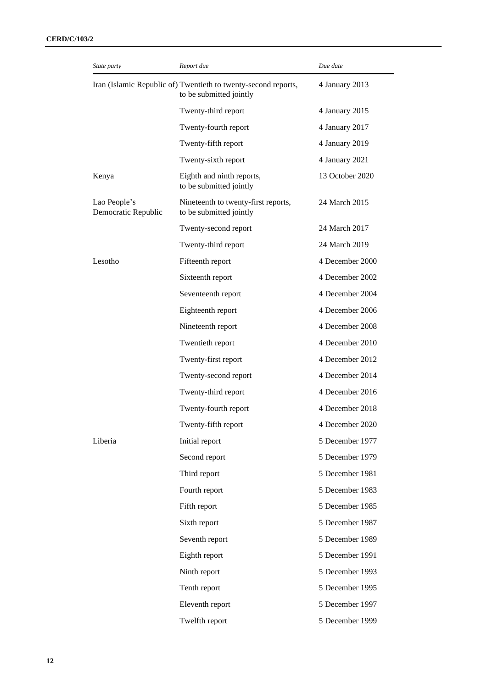| State party                         | Report due                                                                                | Due date        |
|-------------------------------------|-------------------------------------------------------------------------------------------|-----------------|
|                                     | Iran (Islamic Republic of) Twentieth to twenty-second reports,<br>to be submitted jointly | 4 January 2013  |
|                                     | Twenty-third report                                                                       | 4 January 2015  |
|                                     | Twenty-fourth report                                                                      | 4 January 2017  |
|                                     | Twenty-fifth report                                                                       | 4 January 2019  |
|                                     | Twenty-sixth report                                                                       | 4 January 2021  |
| Kenya                               | Eighth and ninth reports,<br>to be submitted jointly                                      | 13 October 2020 |
| Lao People's<br>Democratic Republic | Nineteenth to twenty-first reports,<br>to be submitted jointly                            | 24 March 2015   |
|                                     | Twenty-second report                                                                      | 24 March 2017   |
|                                     | Twenty-third report                                                                       | 24 March 2019   |
| Lesotho                             | Fifteenth report                                                                          | 4 December 2000 |
|                                     | Sixteenth report                                                                          | 4 December 2002 |
|                                     | Seventeenth report                                                                        | 4 December 2004 |
|                                     | Eighteenth report                                                                         | 4 December 2006 |
|                                     | Nineteenth report                                                                         | 4 December 2008 |
|                                     | Twentieth report                                                                          | 4 December 2010 |
|                                     | Twenty-first report                                                                       | 4 December 2012 |
|                                     | Twenty-second report                                                                      | 4 December 2014 |
|                                     | Twenty-third report                                                                       | 4 December 2016 |
|                                     | Twenty-fourth report                                                                      | 4 December 2018 |
|                                     | Twenty-fifth report                                                                       | 4 December 2020 |
| Liberia                             | Initial report                                                                            | 5 December 1977 |
|                                     | Second report                                                                             | 5 December 1979 |
|                                     | Third report                                                                              | 5 December 1981 |
|                                     | Fourth report                                                                             | 5 December 1983 |
|                                     | Fifth report                                                                              | 5 December 1985 |
|                                     | Sixth report                                                                              | 5 December 1987 |
|                                     | Seventh report                                                                            | 5 December 1989 |
|                                     | Eighth report                                                                             | 5 December 1991 |
|                                     | Ninth report                                                                              | 5 December 1993 |
|                                     | Tenth report                                                                              | 5 December 1995 |
|                                     | Eleventh report                                                                           | 5 December 1997 |
|                                     | Twelfth report                                                                            | 5 December 1999 |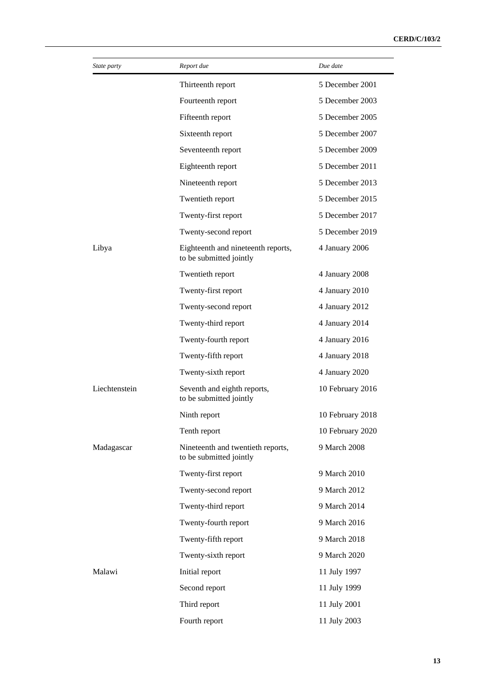| State party   | Report due                                                    | Due date         |
|---------------|---------------------------------------------------------------|------------------|
|               | Thirteenth report                                             | 5 December 2001  |
|               | Fourteenth report                                             | 5 December 2003  |
|               | Fifteenth report                                              | 5 December 2005  |
|               | Sixteenth report                                              | 5 December 2007  |
|               | Seventeenth report                                            | 5 December 2009  |
|               | Eighteenth report                                             | 5 December 2011  |
|               | Nineteenth report                                             | 5 December 2013  |
|               | Twentieth report                                              | 5 December 2015  |
|               | Twenty-first report                                           | 5 December 2017  |
|               | Twenty-second report                                          | 5 December 2019  |
| Libya         | Eighteenth and nineteenth reports,<br>to be submitted jointly | 4 January 2006   |
|               | Twentieth report                                              | 4 January 2008   |
|               | Twenty-first report                                           | 4 January 2010   |
|               | Twenty-second report                                          | 4 January 2012   |
|               | Twenty-third report                                           | 4 January 2014   |
|               | Twenty-fourth report                                          | 4 January 2016   |
|               | Twenty-fifth report                                           | 4 January 2018   |
|               | Twenty-sixth report                                           | 4 January 2020   |
| Liechtenstein | Seventh and eighth reports,<br>to be submitted jointly        | 10 February 2016 |
|               | Ninth report                                                  | 10 February 2018 |
|               | Tenth report                                                  | 10 February 2020 |
| Madagascar    | Nineteenth and twentieth reports,<br>to be submitted jointly  | 9 March 2008     |
|               | Twenty-first report                                           | 9 March 2010     |
|               | Twenty-second report                                          | 9 March 2012     |
|               | Twenty-third report                                           | 9 March 2014     |
|               | Twenty-fourth report                                          | 9 March 2016     |
|               | Twenty-fifth report                                           | 9 March 2018     |
|               | Twenty-sixth report                                           | 9 March 2020     |
| Malawi        | Initial report                                                | 11 July 1997     |
|               | Second report                                                 | 11 July 1999     |
|               | Third report                                                  | 11 July 2001     |
|               | Fourth report                                                 | 11 July 2003     |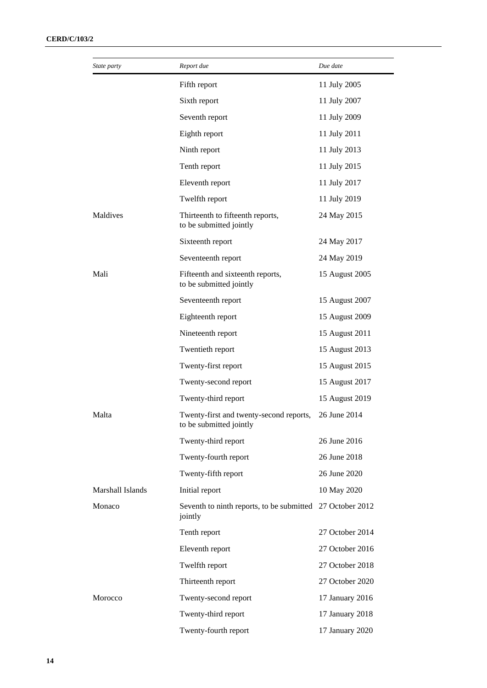| State party      | Report due                                                         | Due date        |
|------------------|--------------------------------------------------------------------|-----------------|
|                  | Fifth report                                                       | 11 July 2005    |
|                  | Sixth report                                                       | 11 July 2007    |
|                  | Seventh report                                                     | 11 July 2009    |
|                  | Eighth report                                                      | 11 July 2011    |
|                  | Ninth report                                                       | 11 July 2013    |
|                  | Tenth report                                                       | 11 July 2015    |
|                  | Eleventh report                                                    | 11 July 2017    |
|                  | Twelfth report                                                     | 11 July 2019    |
| Maldives         | Thirteenth to fifteenth reports,<br>to be submitted jointly        | 24 May 2015     |
|                  | Sixteenth report                                                   | 24 May 2017     |
|                  | Seventeenth report                                                 | 24 May 2019     |
| Mali             | Fifteenth and sixteenth reports,<br>to be submitted jointly        | 15 August 2005  |
|                  | Seventeenth report                                                 | 15 August 2007  |
|                  | Eighteenth report                                                  | 15 August 2009  |
|                  | Nineteenth report                                                  | 15 August 2011  |
|                  | Twentieth report                                                   | 15 August 2013  |
|                  | Twenty-first report                                                | 15 August 2015  |
|                  | Twenty-second report                                               | 15 August 2017  |
|                  | Twenty-third report                                                | 15 August 2019  |
| Malta            | Twenty-first and twenty-second reports,<br>to be submitted jointly | 26 June 2014    |
|                  | Twenty-third report                                                | 26 June 2016    |
|                  | Twenty-fourth report                                               | 26 June 2018    |
|                  | Twenty-fifth report                                                | 26 June 2020    |
| Marshall Islands | Initial report                                                     | 10 May 2020     |
| Monaco           | Seventh to ninth reports, to be submitted<br>jointly               | 27 October 2012 |
|                  | Tenth report                                                       | 27 October 2014 |
|                  | Eleventh report                                                    | 27 October 2016 |
|                  | Twelfth report                                                     | 27 October 2018 |
|                  | Thirteenth report                                                  | 27 October 2020 |
| Morocco          | Twenty-second report                                               | 17 January 2016 |
|                  | Twenty-third report                                                | 17 January 2018 |
|                  | Twenty-fourth report                                               | 17 January 2020 |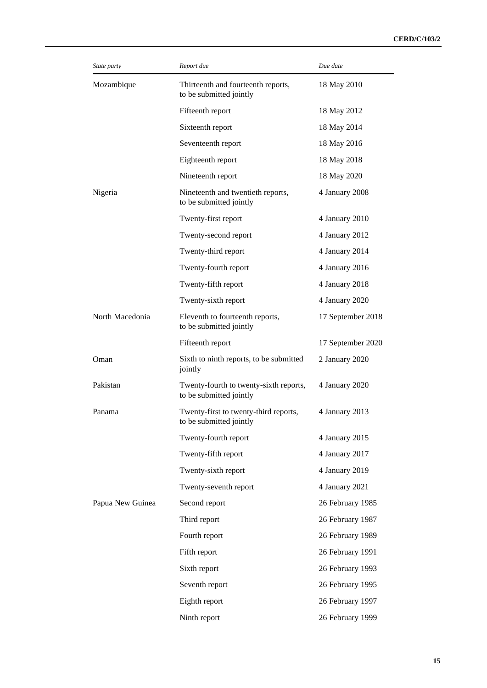| State party      | Report due                                                        | Due date          |
|------------------|-------------------------------------------------------------------|-------------------|
| Mozambique       | Thirteenth and fourteenth reports,<br>to be submitted jointly     | 18 May 2010       |
|                  | Fifteenth report                                                  | 18 May 2012       |
|                  | Sixteenth report                                                  | 18 May 2014       |
|                  | Seventeenth report                                                | 18 May 2016       |
|                  | Eighteenth report                                                 | 18 May 2018       |
|                  | Nineteenth report                                                 | 18 May 2020       |
| Nigeria          | Nineteenth and twentieth reports,<br>to be submitted jointly      | 4 January 2008    |
|                  | Twenty-first report                                               | 4 January 2010    |
|                  | Twenty-second report                                              | 4 January 2012    |
|                  | Twenty-third report                                               | 4 January 2014    |
|                  | Twenty-fourth report                                              | 4 January 2016    |
|                  | Twenty-fifth report                                               | 4 January 2018    |
|                  | Twenty-sixth report                                               | 4 January 2020    |
| North Macedonia  | Eleventh to fourteenth reports,<br>to be submitted jointly        | 17 September 2018 |
|                  | Fifteenth report                                                  | 17 September 2020 |
| Oman             | Sixth to ninth reports, to be submitted<br>jointly                | 2 January 2020    |
| Pakistan         | Twenty-fourth to twenty-sixth reports,<br>to be submitted jointly | 4 January 2020    |
| Panama           | Twenty-first to twenty-third reports,<br>to be submitted jointly  | 4 January 2013    |
|                  | Twenty-fourth report                                              | 4 January 2015    |
|                  | Twenty-fifth report                                               | 4 January 2017    |
|                  | Twenty-sixth report                                               | 4 January 2019    |
|                  | Twenty-seventh report                                             | 4 January 2021    |
| Papua New Guinea | Second report                                                     | 26 February 1985  |
|                  | Third report                                                      | 26 February 1987  |
|                  | Fourth report                                                     | 26 February 1989  |
|                  | Fifth report                                                      | 26 February 1991  |
|                  | Sixth report                                                      | 26 February 1993  |
|                  | Seventh report                                                    | 26 February 1995  |
|                  | Eighth report                                                     | 26 February 1997  |
|                  | Ninth report                                                      | 26 February 1999  |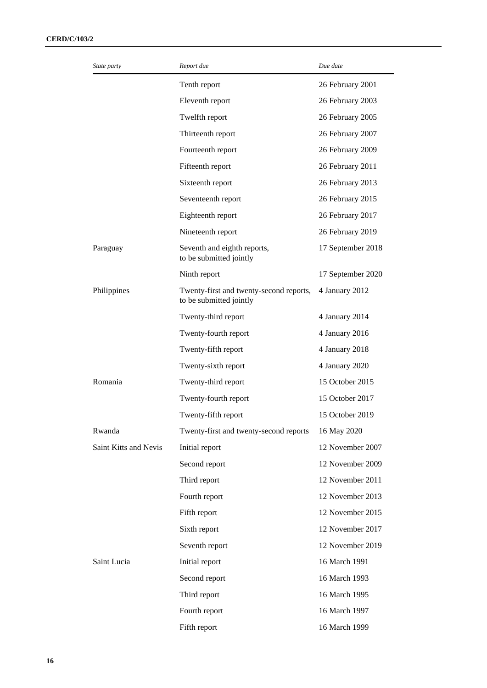| State party           | Report due                                                         | Due date          |
|-----------------------|--------------------------------------------------------------------|-------------------|
|                       | Tenth report                                                       | 26 February 2001  |
|                       | Eleventh report                                                    | 26 February 2003  |
|                       | Twelfth report                                                     | 26 February 2005  |
|                       | Thirteenth report                                                  | 26 February 2007  |
|                       | Fourteenth report                                                  | 26 February 2009  |
|                       | Fifteenth report                                                   | 26 February 2011  |
|                       | Sixteenth report                                                   | 26 February 2013  |
|                       | Seventeenth report                                                 | 26 February 2015  |
|                       | Eighteenth report                                                  | 26 February 2017  |
|                       | Nineteenth report                                                  | 26 February 2019  |
| Paraguay              | Seventh and eighth reports,<br>to be submitted jointly             | 17 September 2018 |
|                       | Ninth report                                                       | 17 September 2020 |
| Philippines           | Twenty-first and twenty-second reports,<br>to be submitted jointly | 4 January 2012    |
|                       | Twenty-third report                                                | 4 January 2014    |
|                       | Twenty-fourth report                                               | 4 January 2016    |
|                       | Twenty-fifth report                                                | 4 January 2018    |
|                       | Twenty-sixth report                                                | 4 January 2020    |
| Romania               | Twenty-third report                                                | 15 October 2015   |
|                       | Twenty-fourth report                                               | 15 October 2017   |
|                       | Twenty-fifth report                                                | 15 October 2019   |
| Rwanda                | Twenty-first and twenty-second reports                             | 16 May 2020       |
| Saint Kitts and Nevis | Initial report                                                     | 12 November 2007  |
|                       | Second report                                                      | 12 November 2009  |
|                       | Third report                                                       | 12 November 2011  |
|                       | Fourth report                                                      | 12 November 2013  |
|                       | Fifth report                                                       | 12 November 2015  |
|                       | Sixth report                                                       | 12 November 2017  |
|                       | Seventh report                                                     | 12 November 2019  |
| Saint Lucia           | Initial report                                                     | 16 March 1991     |
|                       | Second report                                                      | 16 March 1993     |
|                       | Third report                                                       | 16 March 1995     |
|                       | Fourth report                                                      | 16 March 1997     |
|                       | Fifth report                                                       | 16 March 1999     |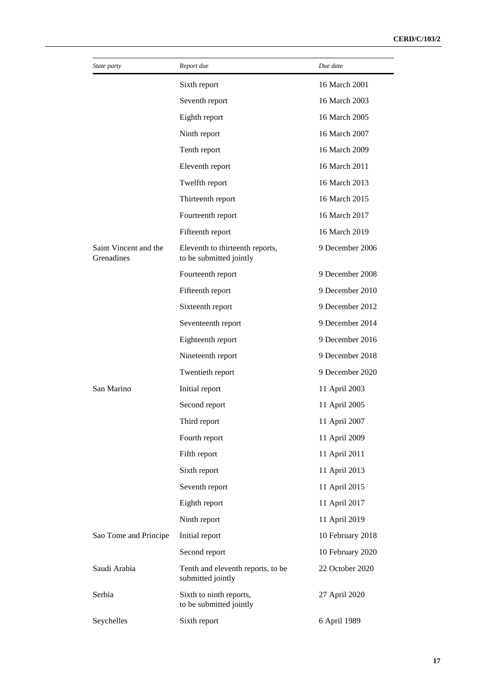| State party                         | Report due                                                 | Due date         |
|-------------------------------------|------------------------------------------------------------|------------------|
|                                     | Sixth report                                               | 16 March 2001    |
|                                     | Seventh report                                             | 16 March 2003    |
|                                     | Eighth report                                              | 16 March 2005    |
|                                     | Ninth report                                               | 16 March 2007    |
|                                     | Tenth report                                               | 16 March 2009    |
|                                     | Eleventh report                                            | 16 March 2011    |
|                                     | Twelfth report                                             | 16 March 2013    |
|                                     | Thirteenth report                                          | 16 March 2015    |
|                                     | Fourteenth report                                          | 16 March 2017    |
|                                     | Fifteenth report                                           | 16 March 2019    |
| Saint Vincent and the<br>Grenadines | Eleventh to thirteenth reports,<br>to be submitted jointly | 9 December 2006  |
|                                     | Fourteenth report                                          | 9 December 2008  |
|                                     | Fifteenth report                                           | 9 December 2010  |
|                                     | Sixteenth report                                           | 9 December 2012  |
|                                     | Seventeenth report                                         | 9 December 2014  |
|                                     | Eighteenth report                                          | 9 December 2016  |
|                                     | Nineteenth report                                          | 9 December 2018  |
|                                     | Twentieth report                                           | 9 December 2020  |
| San Marino                          | Initial report                                             | 11 April 2003    |
|                                     | Second report                                              | 11 April 2005    |
|                                     | Third report                                               | 11 April 2007    |
|                                     | Fourth report                                              | 11 April 2009    |
|                                     | Fifth report                                               | 11 April 2011    |
|                                     | Sixth report                                               | 11 April 2013    |
|                                     | Seventh report                                             | 11 April 2015    |
|                                     | Eighth report                                              | 11 April 2017    |
|                                     | Ninth report                                               | 11 April 2019    |
| Sao Tome and Principe               | Initial report                                             | 10 February 2018 |
|                                     | Second report                                              | 10 February 2020 |
| Saudi Arabia                        | Tenth and eleventh reports, to be<br>submitted jointly     | 22 October 2020  |
| Serbia                              | Sixth to ninth reports,<br>to be submitted jointly         | 27 April 2020    |
| Seychelles                          | Sixth report                                               | 6 April 1989     |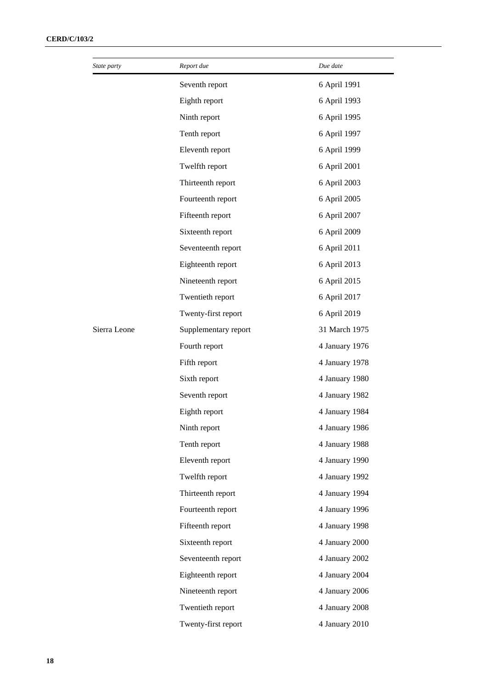| State party  | Report due           | Due date       |
|--------------|----------------------|----------------|
|              | Seventh report       | 6 April 1991   |
|              | Eighth report        | 6 April 1993   |
|              | Ninth report         | 6 April 1995   |
|              | Tenth report         | 6 April 1997   |
|              | Eleventh report      | 6 April 1999   |
|              | Twelfth report       | 6 April 2001   |
|              | Thirteenth report    | 6 April 2003   |
|              | Fourteenth report    | 6 April 2005   |
|              | Fifteenth report     | 6 April 2007   |
|              | Sixteenth report     | 6 April 2009   |
|              | Seventeenth report   | 6 April 2011   |
|              | Eighteenth report    | 6 April 2013   |
|              | Nineteenth report    | 6 April 2015   |
|              | Twentieth report     | 6 April 2017   |
|              | Twenty-first report  | 6 April 2019   |
| Sierra Leone | Supplementary report | 31 March 1975  |
|              | Fourth report        | 4 January 1976 |
|              | Fifth report         | 4 January 1978 |
|              | Sixth report         | 4 January 1980 |
|              | Seventh report       | 4 January 1982 |
|              | Eighth report        | 4 January 1984 |
|              | Ninth report         | 4 January 1986 |
|              | Tenth report         | 4 January 1988 |
|              | Eleventh report      | 4 January 1990 |
|              | Twelfth report       | 4 January 1992 |
|              | Thirteenth report    | 4 January 1994 |
|              | Fourteenth report    | 4 January 1996 |
|              | Fifteenth report     | 4 January 1998 |
|              | Sixteenth report     | 4 January 2000 |
|              | Seventeenth report   | 4 January 2002 |
|              | Eighteenth report    | 4 January 2004 |
|              | Nineteenth report    | 4 January 2006 |
|              | Twentieth report     | 4 January 2008 |
|              | Twenty-first report  | 4 January 2010 |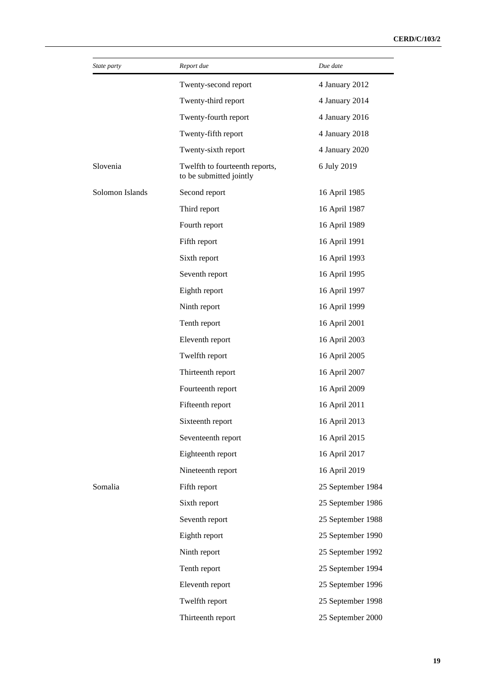| State party     | Report due                                                | Due date          |
|-----------------|-----------------------------------------------------------|-------------------|
|                 | Twenty-second report                                      | 4 January 2012    |
|                 | Twenty-third report                                       | 4 January 2014    |
|                 | Twenty-fourth report                                      | 4 January 2016    |
|                 | Twenty-fifth report                                       | 4 January 2018    |
|                 | Twenty-sixth report                                       | 4 January 2020    |
| Slovenia        | Twelfth to fourteenth reports,<br>to be submitted jointly | 6 July 2019       |
| Solomon Islands | Second report                                             | 16 April 1985     |
|                 | Third report                                              | 16 April 1987     |
|                 | Fourth report                                             | 16 April 1989     |
|                 | Fifth report                                              | 16 April 1991     |
|                 | Sixth report                                              | 16 April 1993     |
|                 | Seventh report                                            | 16 April 1995     |
|                 | Eighth report                                             | 16 April 1997     |
|                 | Ninth report                                              | 16 April 1999     |
|                 | Tenth report                                              | 16 April 2001     |
|                 | Eleventh report                                           | 16 April 2003     |
|                 | Twelfth report                                            | 16 April 2005     |
|                 | Thirteenth report                                         | 16 April 2007     |
|                 | Fourteenth report                                         | 16 April 2009     |
|                 | Fifteenth report                                          | 16 April 2011     |
|                 | Sixteenth report                                          | 16 April 2013     |
|                 | Seventeenth report                                        | 16 April 2015     |
|                 | Eighteenth report                                         | 16 April 2017     |
|                 | Nineteenth report                                         | 16 April 2019     |
| Somalia         | Fifth report                                              | 25 September 1984 |
|                 | Sixth report                                              | 25 September 1986 |
|                 | Seventh report                                            | 25 September 1988 |
|                 | Eighth report                                             | 25 September 1990 |
|                 | Ninth report                                              | 25 September 1992 |
|                 | Tenth report                                              | 25 September 1994 |
|                 | Eleventh report                                           | 25 September 1996 |
|                 | Twelfth report                                            | 25 September 1998 |
|                 | Thirteenth report                                         | 25 September 2000 |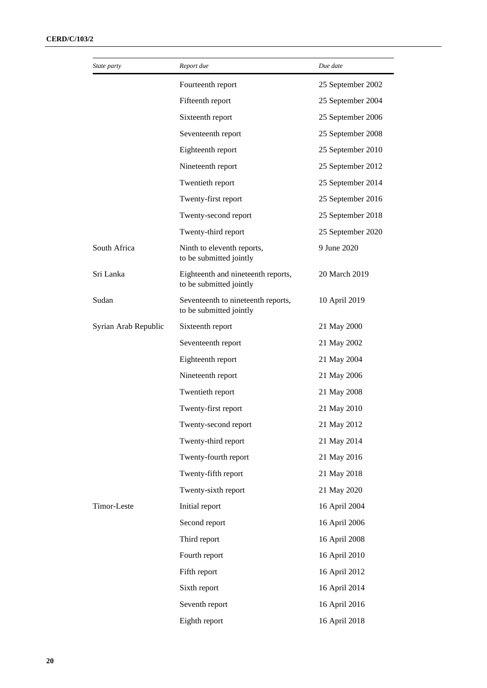| State party          | Report due                                                    | Due date          |
|----------------------|---------------------------------------------------------------|-------------------|
|                      | Fourteenth report                                             | 25 September 2002 |
|                      | Fifteenth report                                              | 25 September 2004 |
|                      | Sixteenth report                                              | 25 September 2006 |
|                      | Seventeenth report                                            | 25 September 2008 |
|                      | Eighteenth report                                             | 25 September 2010 |
|                      | Nineteenth report                                             | 25 September 2012 |
|                      | Twentieth report                                              | 25 September 2014 |
|                      | Twenty-first report                                           | 25 September 2016 |
|                      | Twenty-second report                                          | 25 September 2018 |
|                      | Twenty-third report                                           | 25 September 2020 |
| South Africa         | Ninth to eleventh reports,<br>to be submitted jointly         | 9 June 2020       |
| Sri Lanka            | Eighteenth and nineteenth reports,<br>to be submitted jointly | 20 March 2019     |
| Sudan                | Seventeenth to nineteenth reports,<br>to be submitted jointly | 10 April 2019     |
| Syrian Arab Republic | Sixteenth report                                              | 21 May 2000       |
|                      | Seventeenth report                                            | 21 May 2002       |
|                      | Eighteenth report                                             | 21 May 2004       |
|                      | Nineteenth report                                             | 21 May 2006       |
|                      | Twentieth report                                              | 21 May 2008       |
|                      | Twenty-first report                                           | 21 May 2010       |
|                      | Twenty-second report                                          | 21 May 2012       |
|                      | Twenty-third report                                           | 21 May 2014       |
|                      | Twenty-fourth report                                          | 21 May 2016       |
|                      | Twenty-fifth report                                           | 21 May 2018       |
|                      | Twenty-sixth report                                           | 21 May 2020       |
| Timor-Leste          | Initial report                                                | 16 April 2004     |
|                      | Second report                                                 | 16 April 2006     |
|                      | Third report                                                  | 16 April 2008     |
|                      | Fourth report                                                 | 16 April 2010     |
|                      | Fifth report                                                  | 16 April 2012     |
|                      | Sixth report                                                  | 16 April 2014     |
|                      | Seventh report                                                | 16 April 2016     |
|                      | Eighth report                                                 | 16 April 2018     |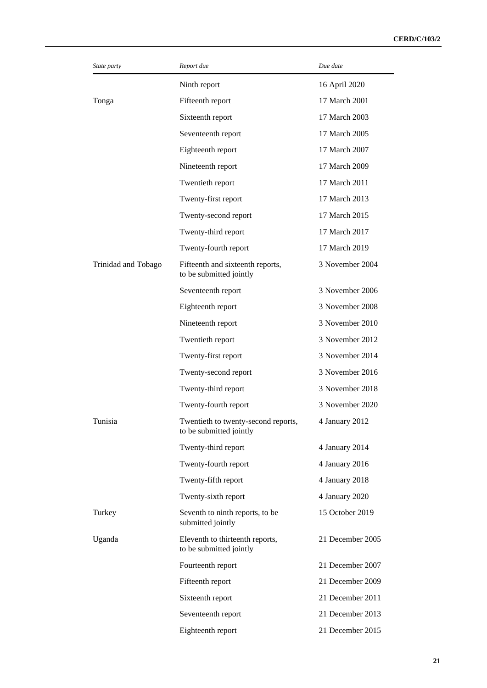| State party         | Report due                                                     | Due date         |
|---------------------|----------------------------------------------------------------|------------------|
|                     | Ninth report                                                   | 16 April 2020    |
| Tonga               | Fifteenth report                                               | 17 March 2001    |
|                     | Sixteenth report                                               | 17 March 2003    |
|                     | Seventeenth report                                             | 17 March 2005    |
|                     | Eighteenth report                                              | 17 March 2007    |
|                     | Nineteenth report                                              | 17 March 2009    |
|                     | Twentieth report                                               | 17 March 2011    |
|                     | Twenty-first report                                            | 17 March 2013    |
|                     | Twenty-second report                                           | 17 March 2015    |
|                     | Twenty-third report                                            | 17 March 2017    |
|                     | Twenty-fourth report                                           | 17 March 2019    |
| Trinidad and Tobago | Fifteenth and sixteenth reports,<br>to be submitted jointly    | 3 November 2004  |
|                     | Seventeenth report                                             | 3 November 2006  |
|                     | Eighteenth report                                              | 3 November 2008  |
|                     | Nineteenth report                                              | 3 November 2010  |
|                     | Twentieth report                                               | 3 November 2012  |
|                     | Twenty-first report                                            | 3 November 2014  |
|                     | Twenty-second report                                           | 3 November 2016  |
|                     | Twenty-third report                                            | 3 November 2018  |
|                     | Twenty-fourth report                                           | 3 November 2020  |
| Tunisia             | Twentieth to twenty-second reports,<br>to be submitted jointly | 4 January 2012   |
|                     | Twenty-third report                                            | 4 January 2014   |
|                     | Twenty-fourth report                                           | 4 January 2016   |
|                     | Twenty-fifth report                                            | 4 January 2018   |
|                     | Twenty-sixth report                                            | 4 January 2020   |
| Turkey              | Seventh to ninth reports, to be<br>submitted jointly           | 15 October 2019  |
| Uganda              | Eleventh to thirteenth reports,<br>to be submitted jointly     | 21 December 2005 |
|                     | Fourteenth report                                              | 21 December 2007 |
|                     | Fifteenth report                                               | 21 December 2009 |
|                     | Sixteenth report                                               | 21 December 2011 |
|                     | Seventeenth report                                             | 21 December 2013 |
|                     | Eighteenth report                                              | 21 December 2015 |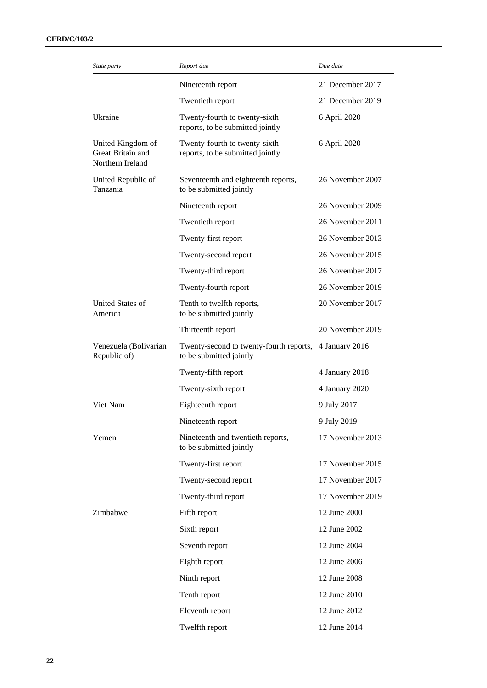| State party                                                | Report due                                                         | Due date         |
|------------------------------------------------------------|--------------------------------------------------------------------|------------------|
|                                                            | Nineteenth report                                                  | 21 December 2017 |
|                                                            | Twentieth report                                                   | 21 December 2019 |
| Ukraine                                                    | Twenty-fourth to twenty-sixth<br>reports, to be submitted jointly  | 6 April 2020     |
| United Kingdom of<br>Great Britain and<br>Northern Ireland | Twenty-fourth to twenty-sixth<br>reports, to be submitted jointly  | 6 April 2020     |
| United Republic of<br>Tanzania                             | Seventeenth and eighteenth reports,<br>to be submitted jointly     | 26 November 2007 |
|                                                            | Nineteenth report                                                  | 26 November 2009 |
|                                                            | Twentieth report                                                   | 26 November 2011 |
|                                                            | Twenty-first report                                                | 26 November 2013 |
|                                                            | Twenty-second report                                               | 26 November 2015 |
|                                                            | Twenty-third report                                                | 26 November 2017 |
|                                                            | Twenty-fourth report                                               | 26 November 2019 |
| United States of<br>America                                | Tenth to twelfth reports,<br>to be submitted jointly               | 20 November 2017 |
|                                                            | Thirteenth report                                                  | 20 November 2019 |
| Venezuela (Bolivarian<br>Republic of)                      | Twenty-second to twenty-fourth reports,<br>to be submitted jointly | 4 January 2016   |
|                                                            | Twenty-fifth report                                                | 4 January 2018   |
|                                                            | Twenty-sixth report                                                | 4 January 2020   |
| Viet Nam                                                   | Eighteenth report                                                  | 9 July 2017      |
|                                                            | Nineteenth report                                                  | 9 July 2019      |
| Yemen                                                      | Nineteenth and twentieth reports,<br>to be submitted jointly       | 17 November 2013 |
|                                                            | Twenty-first report                                                | 17 November 2015 |
|                                                            | Twenty-second report                                               | 17 November 2017 |
|                                                            | Twenty-third report                                                | 17 November 2019 |
| Zimbabwe                                                   | Fifth report                                                       | 12 June 2000     |
|                                                            | Sixth report                                                       | 12 June 2002     |
|                                                            | Seventh report                                                     | 12 June 2004     |
|                                                            | Eighth report                                                      | 12 June 2006     |
|                                                            | Ninth report                                                       | 12 June 2008     |
|                                                            | Tenth report                                                       | 12 June 2010     |
|                                                            | Eleventh report                                                    | 12 June 2012     |
|                                                            | Twelfth report                                                     | 12 June 2014     |